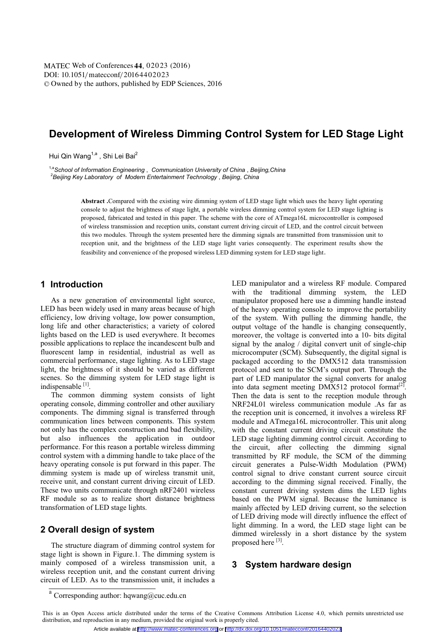# **Development of Wireless Dimming Control System for LED Stage Light**

Hui Qin Wang<sup>1,a</sup> , Shi Lei Bai<sup>2</sup><br><sup>1,a</sup>School of Information Engineering , Communication University of China , Beijing,China <sup>1,a</sup>School of Information Engineering , Communication University of China , Beijing,China<br><sup>2</sup>Beijing Key Laboratory of Modern Entertainment Technology , Beijing, China

> **Abstract .**Compared with the existing wire dimming system of LED stage light which uses the heavy light operating console to adjust the brightness of stage light, a portable wireless dimming control system for LED stage lighting is proposed, fabricated and tested in this paper. The scheme with the core of ATmega16L microcontroller is composed of wireless transmission and reception units, constant current driving circuit of LED, and the control circuit between this two modules. Through the system presented here the dimming signals are transmitted from transmission unit to reception unit, and the brightness of the LED stage light varies consequently. The experiment results show the feasibility and convenience of the proposed wireless LED dimming system for LED stage light.

### **1 Introduction**

As a new generation of environmental light source, LED has been widely used in many areas because of high efficiency, low driving voltage, low power consumption, long life and other characteristics; a variety of colored lights based on the LED is used everywhere. It becomes possible applications to replace the incandescent bulb and fluorescent lamp in residential, industrial as well as commercial performance, stage lighting. As to LED stage light, the brightness of it should be varied as different scenes. So the dimming system for LED stage light is indispensable [1].

The common dimming system consists of light operating console, dimming controller and other auxiliary components. The dimming signal is transferred through communication lines between components. This system not only has the complex construction and bad flexibility, but also influences the application in outdoor performance. For this reason a portable wireless dimming control system with a dimming handle to take place of the heavy operating console is put forward in this paper. The dimming system is made up of wireless transmit unit, receive unit, and constant current driving circuit of LED. These two units communicate through nRF2401 wireless RF module so as to realize short distance brightness transformation of LED stage lights.

# **2 Overall design of system**

The structure diagram of dimming control system for stage light is shown in Figure.1. The dimming system is mainly composed of a wireless transmission unit, a wireless reception unit, and the constant current driving circuit of LED. As to the transmission unit, it includes a LED manipulator and a wireless RF module. Compared with the traditional dimming system, the LED manipulator proposed here use a dimming handle instead of the heavy operating console to improve the portability of the system. With pulling the dimming handle, the output voltage of the handle is changing consequently, moreover, the voltage is converted into a 10- bits digital signal by the analog / digital convert unit of single-chip microcomputer (SCM). Subsequently, the digital signal is packaged according to the DMX512 data transmission protocol and sent to the SCM's output port. Through the part of LED manipulator the signal converts for analog into data segment meeting DMX512 protocol format<sup>[2]</sup>. Then the data is sent to the reception module through NRF24L01 wireless communication module .As far as the reception unit is concerned, it involves a wireless RF module and ATmega16L microcontroller. This unit along with the constant current driving circuit constitute the LED stage lighting dimming control circuit. According to the circuit, after collecting the dimming signal transmitted by RF module, the SCM of the dimming circuit generates a Pulse-Width Modulation (PWM) control signal to drive constant current source circuit according to the dimming signal received. Finally, the constant current driving system dims the LED lights based on the PWM signal. Because the luminance is mainly affected by LED driving current, so the selection of LED driving mode will directly influence the effect of light dimming. In a word, the LED stage light can be dimmed wirelessly in a short distance by the system proposed here [3].

## **3 System hardware design**

 $^{\rm a}$  Corresponding author: hqwang@cuc.edu.cn

This is an Open Access article distributed under the terms of the Creative Commons Attribution License 4.0, which permits unrestricted use distribution, and reproduction in any medium, provided the original work is properly cited.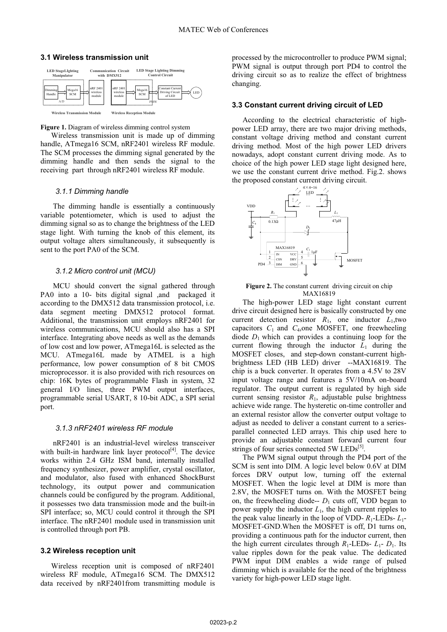#### **3.1 Wireless transmission unit**



**Figure 1.** Diagram of wireless dimming control system

Wireless transmission unit is made up of dimming handle, ATmega16 SCM, nRF2401 wireless RF module. The SCM processes the dimming signal generated by the dimming handle and then sends the signal to the receiving part through nRF2401 wireless RF module.

#### *3.1.1 Dimming handle*

 The dimming handle is essentially a continuously variable potentiometer, which is used to adjust the dimming signal so as to change the brightness of the LED stage light. With turning the knob of this element, its output voltage alters simultaneously, it subsequently is sent to the port PA0 of the SCM.

#### *3.1.2 Micro control unit (MCU)*

 MCU should convert the signal gathered through PA0 into a 10- bits digital signal ,and packaged it according to the DMX512 data transmission protocol, i.e. data segment meeting DMX512 protocol format. Additional, the transmission unit employs nRF2401 for wireless communications, MCU should also has a SPI interface. Integrating above needs as well as the demands of low cost and low power, ATmega16L is selected as the MCU. ATmega16L made by ATMEL is a high performance, low power consumption of 8 bit CMOS microprocessor. it is also provided with rich resources on chip: 16K bytes of programmable Flash in system, 32 general I/O lines, three PWM output interfaces, programmable serial USART, 8 10-bit ADC, a SPI serial port.

#### *3.1.3 nRF2401 wireless RF module*

 nRF2401 is an industrial-level wireless transceiver with built-in hardware link layer protocol $[4]$ . The device works within 2.4 GHz ISM band, internally installed frequency synthesizer, power amplifier, crystal oscillator, and modulator, also fused with enhanced ShockBurst technology, its output power and communication channels could be configured by the program. Additional, it possesses two data transmission mode and the built-in SPI interface; so, MCU could control it through the SPI interface. The nRF2401 module used in transmission unit is controlled through port PB.

#### **3.2 Wireless reception unit**

Wireless reception unit is composed of nRF2401 wireless RF module, ATmega16 SCM. The DMX512 data received by nRF2401from transmitting module is processed by the microcontroller to produce PWM signal; PWM signal is output through port PD4 to control the driving circuit so as to realize the effect of brightness changing.

#### **3.3 Constant current driving circuit of LED**

According to the electrical characteristic of highpower LED array, there are two major driving methods, constant voltage driving method and constant current driving method. Most of the high power LED drivers nowadays, adopt constant current driving mode. As to choice of the high power LED stage light designed here, we use the constant current drive method. Fig.2. shows the proposed constant current driving circuit.



Figure 2. The constant current driving circuit on chip MAX16819

The high-power LED stage light constant current drive circuit designed here is basically constructed by one current detection resistor  $R_1$ , one inductor  $L_1$ , two capacitors  $C_1$  and  $C_4$ , one MOSFET, one freewheeling diode  $D_1$  which can provides a continuing loop for the current flowing through the inductor  $L_1$  during the MOSFET closes, and step-down constant-current highbrightness LED (HB LED) driver --MAX16819. The chip is a buck converter. It operates from a 4.5V to 28V input voltage range and features a 5V/10mA on-board regulator. The output current is regulated by high side current sensing resistor  $R_1$ , adjustable pulse brightness achieve wide range. The hysteretic on-time controller and an external resistor allow the converter output voltage to adjust as needed to deliver a constant current to a seriesparallel connected LED arrays. This chip used here to provide an adjustable constant forward current four strings of four series connected 5W  $LEDs^{[5]}$ .

The PWM signal output through the PD4 port of the SCM is sent into DIM. A logic level below 0.6V at DIM forces DRV output low, turning off the external MOSFET. When the logic level at DIM is more than 2.8V, the MOSFET turns on. With the MOSFET being on, the freewheeling diode--  $D_1$  cuts off, VDD began to power supply the inductor  $L_1$ , the high current ripples to the peak value linearly in the loop of VDD- $R_1$ -LEDs- $L_1$ -MOSFET-GND.When the MOSFET is off, D1 turns on, providing a continuous path for the inductor current, then the high current circulates through  $R_1$ -LEDs-  $L_1$ -  $D_1$ . Its value ripples down for the peak value. The dedicated PWM input DIM enables a wide range of pulsed dimming which is available for the need of the brightness variety for high-power LED stage light.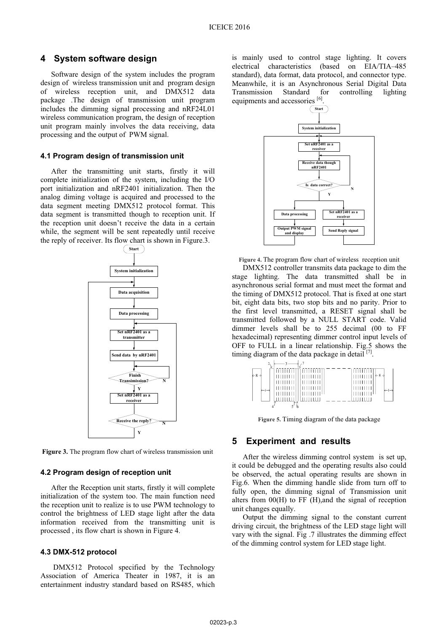### **4 System software design**

Software design of the system includes the program design of wireless transmission unit and program design of wireless reception unit, and DMX512 data package .The design of transmission unit program includes the dimming signal processing and nRF24L01 wireless communication program, the design of reception unit program mainly involves the data receiving, data processing and the output of PWM signal.

#### **4.1 Program design of transmission unit**

After the transmitting unit starts, firstly it will complete initialization of the system, including the I/O port initialization and nRF2401 initialization. Then the analog diming voltage is acquired and processed to the data segment meeting DMX512 protocol format. This data segment is transmitted though to reception unit. If the reception unit doesn't receive the data in a certain while, the segment will be sent repeatedly until receive the reply of receiver. Its flow chart is shown in Figure.3.



**Figure 3.** The program flow chart of wireless transmission unit

### **4.2 Program design of reception unit**

After the Reception unit starts, firstly it will complete initialization of the system too. The main function need the reception unit to realize is to use PWM technology to control the brightness of LED stage light after the data information received from the transmitting unit is processed , its flow chart is shown in Figure 4.

#### **4.3 DMX-512 protocol**

DMX512 Protocol specified by the Technology Association of America Theater in 1987, it is an entertainment industry standard based on RS485, which

is mainly used to control stage lighting. It covers electrical characteristics (based on EIA/TIA–485 standard), data format, data protocol, and connector type. Meanwhile, it is an Asynchronous Serial Digital Data Transmission Standard for controlling lighting equipments and accessories [6].



**Figure 4.** The program flow chart of wireless reception unit

DMX512 controller transmits data package to dim the stage lighting. The data transmitted shall be in asynchronous serial format and must meet the format and the timing of DMX512 protocol. That is fixed at one start bit, eight data bits, two stop bits and no parity. Prior to the first level transmitted, a RESET signal shall be transmitted followed by a NULL START code. Valid dimmer levels shall be to 255 decimal (00 to FF hexadecimal) representing dimmer control input levels of OFF to FULL in a linear relationship. Fig.5 shows the timing diagram of the data package in detail  $[7]$ .

|                                                            | N |                                                 |           |  |                                                                                                                                                                                                                                                                                                                                                                                                                                                      |                              |
|------------------------------------------------------------|---|-------------------------------------------------|-----------|--|------------------------------------------------------------------------------------------------------------------------------------------------------------------------------------------------------------------------------------------------------------------------------------------------------------------------------------------------------------------------------------------------------------------------------------------------------|------------------------------|
| $\leftarrow 8 \rightarrow$<br>$\leftarrow$ ) $\rightarrow$ |   | 111111111<br>111111111<br>111111111<br>11111111 | ازرآ آلتت |  | וזרר<br>$\begin{array}{c c c c c c} \hline \textbf{1} & \textbf{1} & \textbf{1} & \textbf{1} & \textbf{1} & \textbf{1} & \textbf{1} & \textbf{1} & \textbf{1} & \textbf{1} & \textbf{1} & \textbf{1} & \textbf{1} & \textbf{1} & \textbf{1} & \textbf{1} & \textbf{1} & \textbf{1} & \textbf{1} & \textbf{1} & \textbf{1} & \textbf{1} & \textbf{1} & \textbf{1} & \textbf{1} & \textbf{1} & \textbf{1} & \textbf{1} & \textbf{$<br>111111<br>111111 | $\leftarrow$ 8 $\rightarrow$ |
|                                                            |   |                                                 |           |  |                                                                                                                                                                                                                                                                                                                                                                                                                                                      |                              |

**Figure 5.** Timing diagram of the data package

### **5 Experiment and results**

After the wireless dimming control system is set up, it could be debugged and the operating results also could be observed, the actual operating results are shown in Fig.6. When the dimming handle slide from turn off to fully open, the dimming signal of Transmission unit alters from 00(H) to FF (H),and the signal of reception unit changes equally.

Output the dimming signal to the constant current driving circuit, the brightness of the LED stage light will vary with the signal. Fig .7 illustrates the dimming effect of the dimming control system for LED stage light.